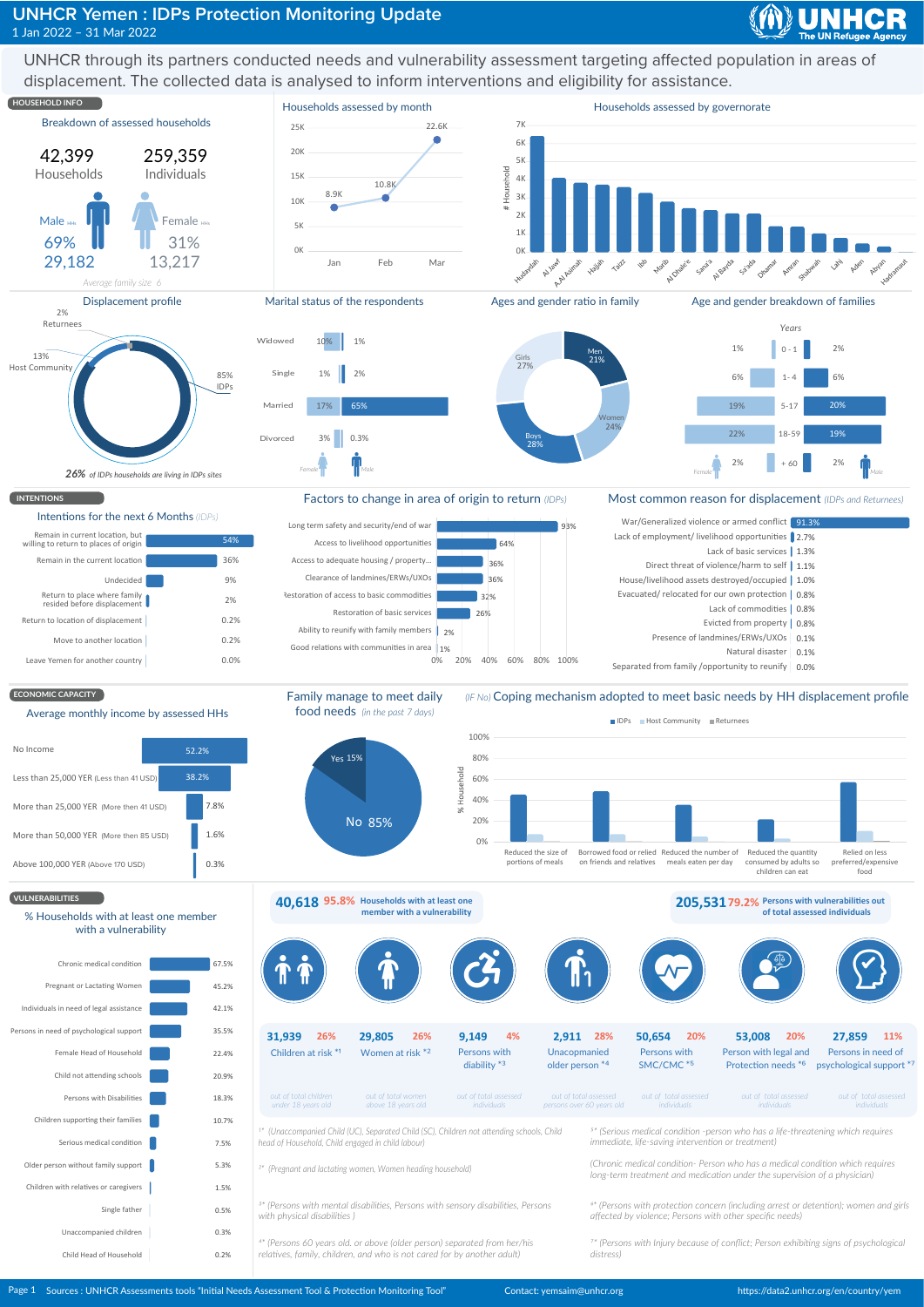## **UNHCR Yemen: IDPs Protection Monitoring Update** 1 Jan 2022 - 31 Mar 2022

UNHCR through its partners conducted needs and vulnerability assessment targeting affected population in areas of displacement. The collected data is analysed to inform interventions and eligibility for assistance.